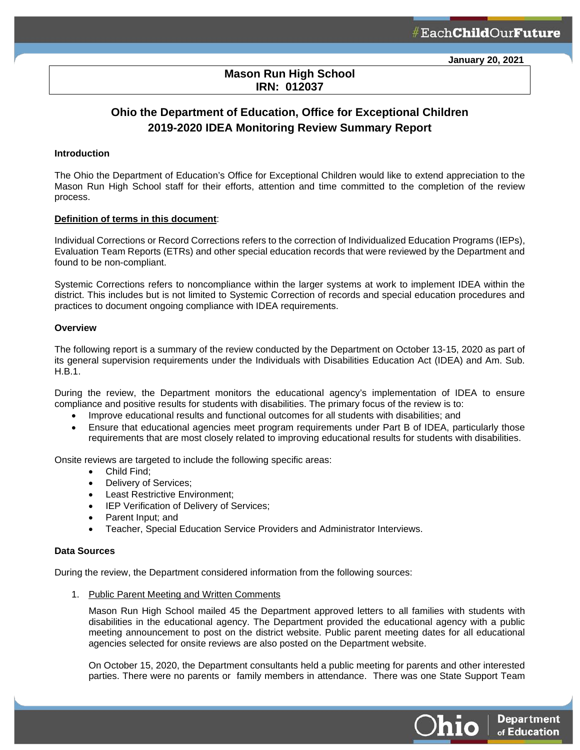**Department** 

of Education

 $O$ hio

# **Mason Run High School IRN: 012037**

l

# **Ohio the Department of Education, Office for Exceptional Children 2019-2020 IDEA Monitoring Review Summary Report**

#### **Introduction**

The Ohio the Department of Education's Office for Exceptional Children would like to extend appreciation to the Mason Run High School staff for their efforts, attention and time committed to the completion of the review process.

#### **Definition of terms in this document**:

Individual Corrections or Record Corrections refers to the correction of Individualized Education Programs (IEPs), Evaluation Team Reports (ETRs) and other special education records that were reviewed by the Department and found to be non-compliant.

Systemic Corrections refers to noncompliance within the larger systems at work to implement IDEA within the district. This includes but is not limited to Systemic Correction of records and special education procedures and practices to document ongoing compliance with IDEA requirements.

#### **Overview**

The following report is a summary of the review conducted by the Department on October 13-15, 2020 as part of its general supervision requirements under the Individuals with Disabilities Education Act (IDEA) and Am. Sub. H.B.1.

During the review, the Department monitors the educational agency's implementation of IDEA to ensure compliance and positive results for students with disabilities. The primary focus of the review is to:

- Improve educational results and functional outcomes for all students with disabilities; and
- Ensure that educational agencies meet program requirements under Part B of IDEA, particularly those requirements that are most closely related to improving educational results for students with disabilities.

Onsite reviews are targeted to include the following specific areas:

- Child Find;
- Delivery of Services;
- Least Restrictive Environment;
- IEP Verification of Delivery of Services;
- Parent Input; and
- Teacher, Special Education Service Providers and Administrator Interviews.

#### **Data Sources**

During the review, the Department considered information from the following sources:

1. Public Parent Meeting and Written Comments

Mason Run High School mailed 45 the Department approved letters to all families with students with disabilities in the educational agency. The Department provided the educational agency with a public meeting announcement to post on the district website. Public parent meeting dates for all educational agencies selected for onsite reviews are also posted on the Department website.

On October 15, 2020, the Department consultants held a public meeting for parents and other interested parties. There were no parents or family members in attendance. There was one State Support Team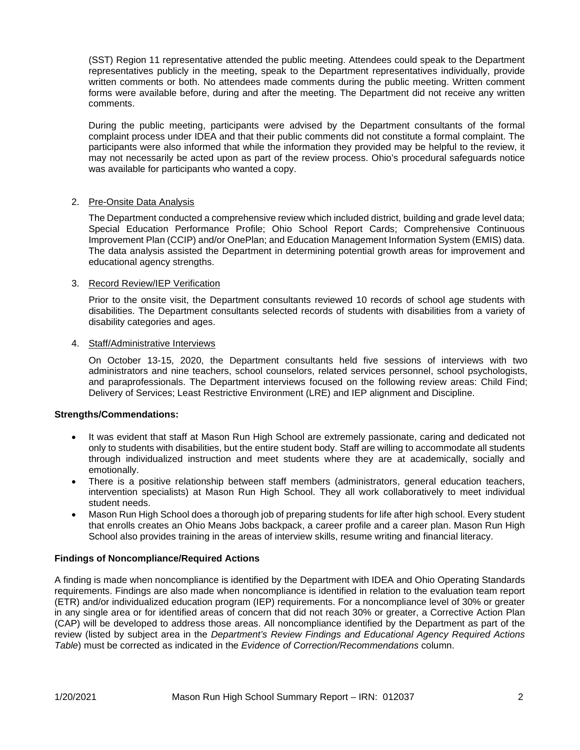(SST) Region 11 representative attended the public meeting. Attendees could speak to the Department representatives publicly in the meeting, speak to the Department representatives individually, provide written comments or both. No attendees made comments during the public meeting. Written comment forms were available before, during and after the meeting. The Department did not receive any written comments.

During the public meeting, participants were advised by the Department consultants of the formal complaint process under IDEA and that their public comments did not constitute a formal complaint. The participants were also informed that while the information they provided may be helpful to the review, it may not necessarily be acted upon as part of the review process. Ohio's procedural safeguards notice was available for participants who wanted a copy.

# 2. Pre-Onsite Data Analysis

The Department conducted a comprehensive review which included district, building and grade level data; Special Education Performance Profile; Ohio School Report Cards; Comprehensive Continuous Improvement Plan (CCIP) and/or OnePlan; and Education Management Information System (EMIS) data. The data analysis assisted the Department in determining potential growth areas for improvement and educational agency strengths.

# 3. Record Review/IEP Verification

Prior to the onsite visit, the Department consultants reviewed 10 records of school age students with disabilities. The Department consultants selected records of students with disabilities from a variety of disability categories and ages.

# 4. Staff/Administrative Interviews

On October 13-15, 2020, the Department consultants held five sessions of interviews with two administrators and nine teachers, school counselors, related services personnel, school psychologists, and paraprofessionals. The Department interviews focused on the following review areas: Child Find; Delivery of Services; Least Restrictive Environment (LRE) and IEP alignment and Discipline.

#### **Strengths/Commendations:**

- It was evident that staff at Mason Run High School are extremely passionate, caring and dedicated not only to students with disabilities, but the entire student body. Staff are willing to accommodate all students through individualized instruction and meet students where they are at academically, socially and emotionally.
- There is a positive relationship between staff members (administrators, general education teachers, intervention specialists) at Mason Run High School. They all work collaboratively to meet individual student needs.
- Mason Run High School does a thorough job of preparing students for life after high school. Every student that enrolls creates an Ohio Means Jobs backpack, a career profile and a career plan. Mason Run High School also provides training in the areas of interview skills, resume writing and financial literacy.

#### **Findings of Noncompliance/Required Actions**

A finding is made when noncompliance is identified by the Department with IDEA and Ohio Operating Standards requirements. Findings are also made when noncompliance is identified in relation to the evaluation team report (ETR) and/or individualized education program (IEP) requirements. For a noncompliance level of 30% or greater in any single area or for identified areas of concern that did not reach 30% or greater, a Corrective Action Plan (CAP) will be developed to address those areas. All noncompliance identified by the Department as part of the review (listed by subject area in the *Department's Review Findings and Educational Agency Required Actions Table*) must be corrected as indicated in the *Evidence of Correction/Recommendations* column.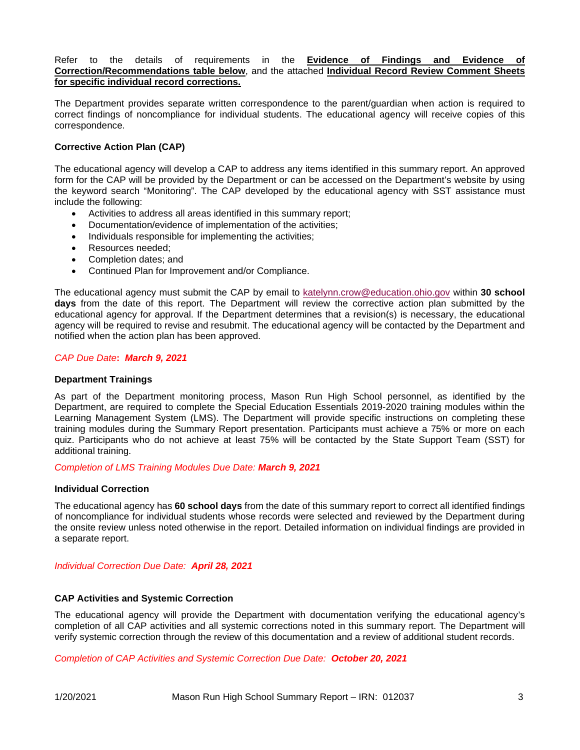Refer to the details of requirements in the **Evidence of Findings and Evidence of Correction/Recommendations table below**, and the attached **Individual Record Review Comment Sheets for specific individual record corrections.**

The Department provides separate written correspondence to the parent/guardian when action is required to correct findings of noncompliance for individual students. The educational agency will receive copies of this correspondence.

# **Corrective Action Plan (CAP)**

The educational agency will develop a CAP to address any items identified in this summary report. An approved form for the CAP will be provided by the Department or can be accessed on the Department's website by using the keyword search "Monitoring". The CAP developed by the educational agency with SST assistance must include the following:

- Activities to address all areas identified in this summary report;
- Documentation/evidence of implementation of the activities;
- Individuals responsible for implementing the activities;
- Resources needed;
- Completion dates; and
- Continued Plan for Improvement and/or Compliance.

The educational agency must submit the CAP by email to [katelynn.crow@education.ohio.gov](mailto:katelynn.crow@education.ohio.gov) within **30 school days** from the date of this report. The Department will review the corrective action plan submitted by the educational agency for approval. If the Department determines that a revision(s) is necessary, the educational agency will be required to revise and resubmit. The educational agency will be contacted by the Department and notified when the action plan has been approved.

#### *CAP Due Date***:** *March 9, 2021*

#### **Department Trainings**

As part of the Department monitoring process, Mason Run High School personnel, as identified by the Department, are required to complete the Special Education Essentials 2019-2020 training modules within the Learning Management System (LMS). The Department will provide specific instructions on completing these training modules during the Summary Report presentation. Participants must achieve a 75% or more on each quiz. Participants who do not achieve at least 75% will be contacted by the State Support Team (SST) for additional training.

*Completion of LMS Training Modules Due Date: March 9, 2021*

#### **Individual Correction**

The educational agency has **60 school days** from the date of this summary report to correct all identified findings of noncompliance for individual students whose records were selected and reviewed by the Department during the onsite review unless noted otherwise in the report. Detailed information on individual findings are provided in a separate report.

*Individual Correction Due Date: April 28, 2021*

#### **CAP Activities and Systemic Correction**

The educational agency will provide the Department with documentation verifying the educational agency's completion of all CAP activities and all systemic corrections noted in this summary report. The Department will verify systemic correction through the review of this documentation and a review of additional student records.

*Completion of CAP Activities and Systemic Correction Due Date: October 20, 2021*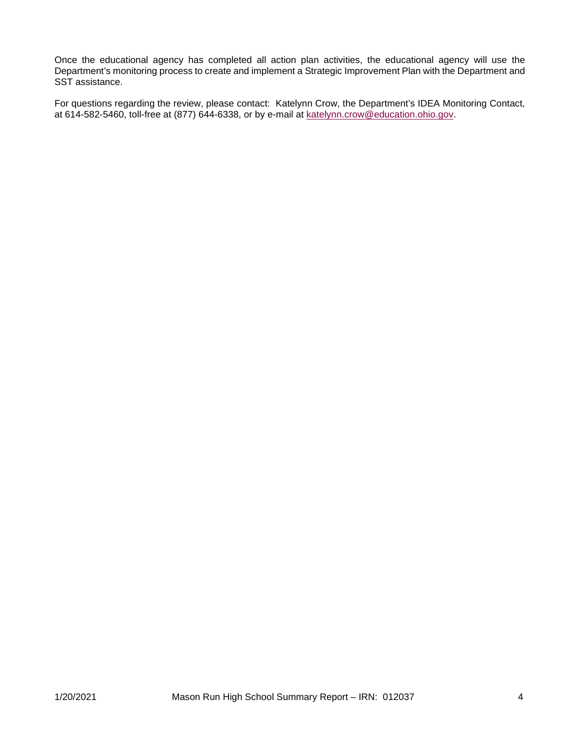Once the educational agency has completed all action plan activities, the educational agency will use the Department's monitoring process to create and implement a Strategic Improvement Plan with the Department and SST assistance.

For questions regarding the review, please contact: Katelynn Crow, the Department's IDEA Monitoring Contact, at 614-582-5460, toll-free at (877) 644-6338, or by e-mail at [katelynn.crow@education.ohio.gov.](mailto:katelynn.crow@education.ohio.gov)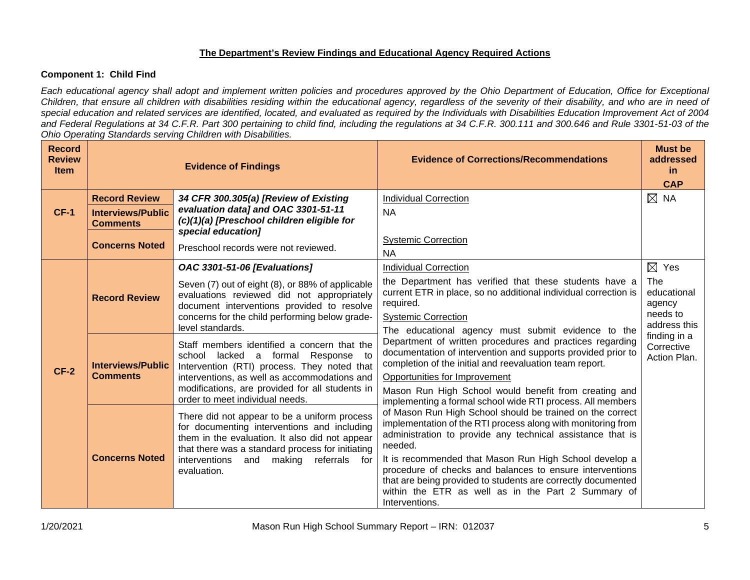# **The Department's Review Findings and Educational Agency Required Actions**

# **Component 1: Child Find**

*Each educational agency shall adopt and implement written policies and procedures approved by the Ohio Department of Education, Office for Exceptional Children, that ensure all children with disabilities residing within the educational agency, regardless of the severity of their disability, and who are in need of special education and related services are identified, located, and evaluated as required by the Individuals with Disabilities Education Improvement Act of 2004 and Federal Regulations at 34 C.F.R. Part 300 pertaining to child find, including the regulations at 34 C.F.R. 300.111 and 300.646 and Rule 3301-51-03 of the Ohio Operating Standards serving Children with Disabilities.* 

| <b>Record</b><br><b>Review</b><br><b>Item</b> |                                             | <b>Evidence of Findings</b>                                                                                                                                                                                                                                         | <b>Evidence of Corrections/Recommendations</b>                                                                                                                                                                                                                                                                                                                                                                                                                   | <b>Must be</b><br>addressed<br>-in<br><b>CAP</b>         |
|-----------------------------------------------|---------------------------------------------|---------------------------------------------------------------------------------------------------------------------------------------------------------------------------------------------------------------------------------------------------------------------|------------------------------------------------------------------------------------------------------------------------------------------------------------------------------------------------------------------------------------------------------------------------------------------------------------------------------------------------------------------------------------------------------------------------------------------------------------------|----------------------------------------------------------|
|                                               | <b>Record Review</b>                        | 34 CFR 300.305(a) [Review of Existing                                                                                                                                                                                                                               | <b>Individual Correction</b>                                                                                                                                                                                                                                                                                                                                                                                                                                     | $\boxtimes$ NA                                           |
| $CF-1$                                        | <b>Interviews/Public</b><br><b>Comments</b> | evaluation data] and OAC 3301-51-11<br>(c)(1)(a) [Preschool children eligible for<br>special education]                                                                                                                                                             | <b>NA</b>                                                                                                                                                                                                                                                                                                                                                                                                                                                        |                                                          |
|                                               | <b>Concerns Noted</b>                       | Preschool records were not reviewed.                                                                                                                                                                                                                                | <b>Systemic Correction</b><br><b>NA</b>                                                                                                                                                                                                                                                                                                                                                                                                                          |                                                          |
|                                               |                                             | <b>OAC 3301-51-06 [Evaluations]</b>                                                                                                                                                                                                                                 | <b>Individual Correction</b>                                                                                                                                                                                                                                                                                                                                                                                                                                     | $\boxtimes$ Yes                                          |
| $CF-2$                                        | <b>Record Review</b>                        | Seven (7) out of eight (8), or 88% of applicable<br>evaluations reviewed did not appropriately<br>document interventions provided to resolve<br>concerns for the child performing below grade-<br>level standards.                                                  | the Department has verified that these students have a<br>current ETR in place, so no additional individual correction is<br>required.<br><b>Systemic Correction</b><br>The educational agency must submit evidence to the                                                                                                                                                                                                                                       | The<br>educational<br>agency<br>needs to<br>address this |
|                                               | <b>Interviews/Public</b><br><b>Comments</b> | Staff members identified a concern that the<br>a formal Response to<br>school lacked<br>Intervention (RTI) process. They noted that<br>interventions, as well as accommodations and                                                                                 | Department of written procedures and practices regarding<br>documentation of intervention and supports provided prior to<br>completion of the initial and reevaluation team report.<br>Opportunities for Improvement                                                                                                                                                                                                                                             | finding in a<br>Corrective<br>Action Plan.               |
|                                               |                                             | modifications, are provided for all students in<br>order to meet individual needs.                                                                                                                                                                                  | Mason Run High School would benefit from creating and<br>implementing a formal school wide RTI process. All members                                                                                                                                                                                                                                                                                                                                              |                                                          |
|                                               | <b>Concerns Noted</b>                       | There did not appear to be a uniform process<br>for documenting interventions and including<br>them in the evaluation. It also did not appear<br>that there was a standard process for initiating<br>interventions<br>making<br>referrals for<br>and<br>evaluation. | of Mason Run High School should be trained on the correct<br>implementation of the RTI process along with monitoring from<br>administration to provide any technical assistance that is<br>needed.<br>It is recommended that Mason Run High School develop a<br>procedure of checks and balances to ensure interventions<br>that are being provided to students are correctly documented<br>within the ETR as well as in the Part 2 Summary of<br>Interventions. |                                                          |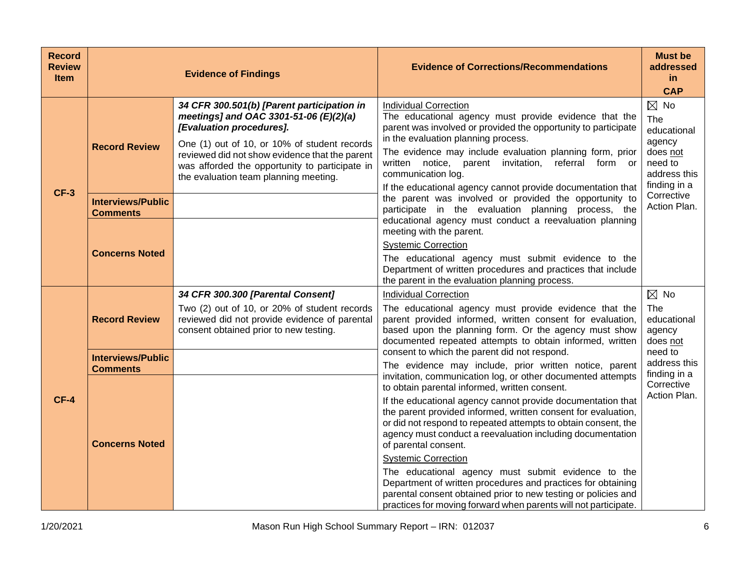| <b>Record</b><br><b>Review</b><br><b>Item</b> |                                             | <b>Evidence of Findings</b>                                                                                                                                                                                                                                                                                   | <b>Evidence of Corrections/Recommendations</b>                                                                                                                                                                                                                                                                                                                                                                                                                                                                                                                                                                                                                                                | <b>Must be</b><br>addressed<br>in<br><b>CAP</b>                                                       |
|-----------------------------------------------|---------------------------------------------|---------------------------------------------------------------------------------------------------------------------------------------------------------------------------------------------------------------------------------------------------------------------------------------------------------------|-----------------------------------------------------------------------------------------------------------------------------------------------------------------------------------------------------------------------------------------------------------------------------------------------------------------------------------------------------------------------------------------------------------------------------------------------------------------------------------------------------------------------------------------------------------------------------------------------------------------------------------------------------------------------------------------------|-------------------------------------------------------------------------------------------------------|
| $CF-3$                                        | <b>Record Review</b>                        | 34 CFR 300.501(b) [Parent participation in<br>meetings] and OAC 3301-51-06 (E)(2)(a)<br>[Evaluation procedures].<br>One (1) out of 10, or 10% of student records<br>reviewed did not show evidence that the parent<br>was afforded the opportunity to participate in<br>the evaluation team planning meeting. | <b>Individual Correction</b><br>The educational agency must provide evidence that the<br>parent was involved or provided the opportunity to participate<br>in the evaluation planning process.<br>The evidence may include evaluation planning form, prior<br>written notice, parent invitation, referral form or<br>communication log.<br>If the educational agency cannot provide documentation that                                                                                                                                                                                                                                                                                        | $\boxtimes$ No<br>The<br>educational<br>agency<br>does not<br>need to<br>address this<br>finding in a |
|                                               | <b>Interviews/Public</b><br><b>Comments</b> |                                                                                                                                                                                                                                                                                                               | the parent was involved or provided the opportunity to<br>participate in the evaluation planning process, the<br>educational agency must conduct a reevaluation planning                                                                                                                                                                                                                                                                                                                                                                                                                                                                                                                      | Corrective<br>Action Plan.                                                                            |
|                                               | <b>Concerns Noted</b>                       |                                                                                                                                                                                                                                                                                                               | meeting with the parent.<br><b>Systemic Correction</b><br>The educational agency must submit evidence to the<br>Department of written procedures and practices that include<br>the parent in the evaluation planning process.                                                                                                                                                                                                                                                                                                                                                                                                                                                                 |                                                                                                       |
|                                               | <b>Record Review</b>                        | 34 CFR 300.300 [Parental Consent]<br>Two (2) out of 10, or 20% of student records<br>reviewed did not provide evidence of parental<br>consent obtained prior to new testing.                                                                                                                                  | <b>Individual Correction</b><br>The educational agency must provide evidence that the<br>parent provided informed, written consent for evaluation,<br>based upon the planning form. Or the agency must show<br>documented repeated attempts to obtain informed, written                                                                                                                                                                                                                                                                                                                                                                                                                       | $\boxtimes$ No<br><b>The</b><br>educational<br>agency<br>does not                                     |
|                                               | <b>Interviews/Public</b><br><b>Comments</b> |                                                                                                                                                                                                                                                                                                               | consent to which the parent did not respond.<br>The evidence may include, prior written notice, parent                                                                                                                                                                                                                                                                                                                                                                                                                                                                                                                                                                                        | need to<br>address this                                                                               |
| $CF-4$                                        | <b>Concerns Noted</b>                       |                                                                                                                                                                                                                                                                                                               | invitation, communication log, or other documented attempts<br>to obtain parental informed, written consent.<br>If the educational agency cannot provide documentation that<br>the parent provided informed, written consent for evaluation,<br>or did not respond to repeated attempts to obtain consent, the<br>agency must conduct a reevaluation including documentation<br>of parental consent.<br><b>Systemic Correction</b><br>The educational agency must submit evidence to the<br>Department of written procedures and practices for obtaining<br>parental consent obtained prior to new testing or policies and<br>practices for moving forward when parents will not participate. | finding in a<br>Corrective<br>Action Plan.                                                            |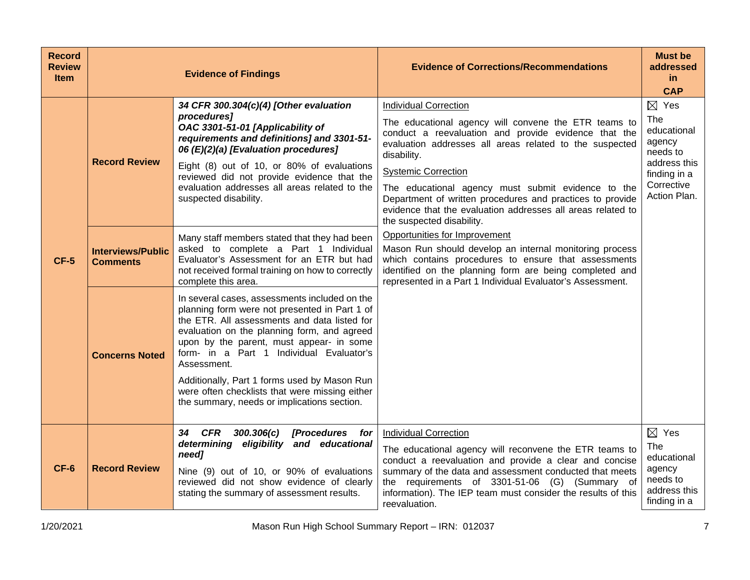| <b>Record</b><br><b>Review</b><br><b>Item</b> |                                             | <b>Evidence of Findings</b>                                                                                                                                                                                                                                                                                                                                                                                                                           | <b>Evidence of Corrections/Recommendations</b>                                                                                                                                                                                                                                                                                                                          | <b>Must be</b><br>addressed<br>in<br><b>CAP</b>                                                                           |
|-----------------------------------------------|---------------------------------------------|-------------------------------------------------------------------------------------------------------------------------------------------------------------------------------------------------------------------------------------------------------------------------------------------------------------------------------------------------------------------------------------------------------------------------------------------------------|-------------------------------------------------------------------------------------------------------------------------------------------------------------------------------------------------------------------------------------------------------------------------------------------------------------------------------------------------------------------------|---------------------------------------------------------------------------------------------------------------------------|
|                                               | <b>Record Review</b>                        | 34 CFR 300.304(c)(4) [Other evaluation<br>procedures]<br>OAC 3301-51-01 [Applicability of<br>requirements and definitions] and 3301-51-<br>06 (E)(2)(a) [Evaluation procedures]<br>Eight (8) out of 10, or 80% of evaluations<br>reviewed did not provide evidence that the<br>evaluation addresses all areas related to the<br>suspected disability.                                                                                                 | <b>Individual Correction</b><br>The educational agency will convene the ETR teams to<br>conduct a reevaluation and provide evidence that the<br>evaluation addresses all areas related to the suspected<br>disability.<br><b>Systemic Correction</b><br>The educational agency must submit evidence to the<br>Department of written procedures and practices to provide | $\boxtimes$ Yes<br>The<br>educational<br>agency<br>needs to<br>address this<br>finding in a<br>Corrective<br>Action Plan. |
| $CF-5$                                        | <b>Interviews/Public</b><br><b>Comments</b> | Many staff members stated that they had been<br>asked to complete a Part 1 Individual<br>Evaluator's Assessment for an ETR but had<br>not received formal training on how to correctly<br>complete this area.                                                                                                                                                                                                                                         | evidence that the evaluation addresses all areas related to<br>the suspected disability.<br>Opportunities for Improvement<br>Mason Run should develop an internal monitoring process<br>which contains procedures to ensure that assessments<br>identified on the planning form are being completed and<br>represented in a Part 1 Individual Evaluator's Assessment.   |                                                                                                                           |
|                                               | <b>Concerns Noted</b>                       | In several cases, assessments included on the<br>planning form were not presented in Part 1 of<br>the ETR. All assessments and data listed for<br>evaluation on the planning form, and agreed<br>upon by the parent, must appear- in some<br>form- in a Part 1 Individual Evaluator's<br>Assessment.<br>Additionally, Part 1 forms used by Mason Run<br>were often checklists that were missing either<br>the summary, needs or implications section. |                                                                                                                                                                                                                                                                                                                                                                         |                                                                                                                           |
| $CF-6$                                        | <b>Record Review</b>                        | 34 CFR<br>300.306(c)<br><b>[Procedures</b><br>for<br>determining eligibility and educational<br>need]<br>Nine (9) out of 10, or 90% of evaluations<br>reviewed did not show evidence of clearly<br>stating the summary of assessment results.                                                                                                                                                                                                         | <b>Individual Correction</b><br>The educational agency will reconvene the ETR teams to<br>conduct a reevaluation and provide a clear and concise<br>summary of the data and assessment conducted that meets<br>the requirements of 3301-51-06 (G) (Summary of<br>information). The IEP team must consider the results of this<br>reevaluation.                          | $\boxtimes$ Yes<br><b>The</b><br>educational<br>agency<br>needs to<br>address this<br>finding in a                        |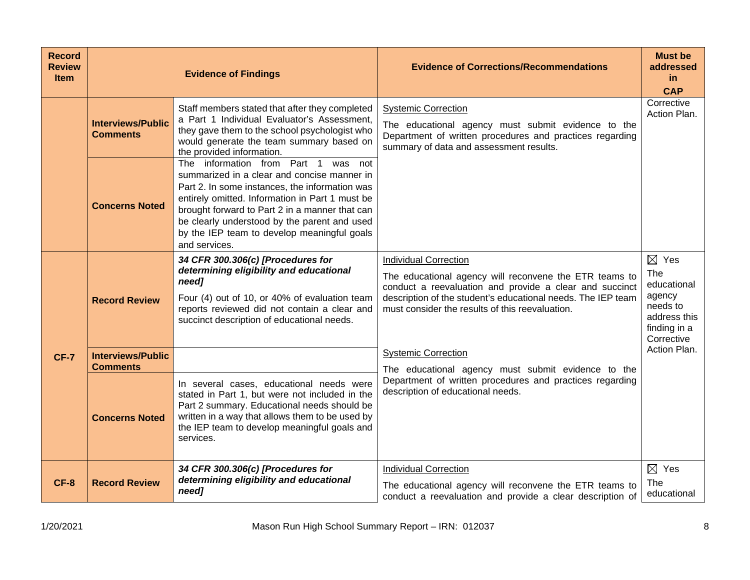| <b>Record</b><br><b>Review</b><br><b>Item</b> |                                             | <b>Evidence of Findings</b>                                                                                                                                                                                                                                                                                                                               | <b>Evidence of Corrections/Recommendations</b>                                                                                                                                                                                                                       | <b>Must be</b><br>addressed<br>in.<br><b>CAP</b>                                                          |
|-----------------------------------------------|---------------------------------------------|-----------------------------------------------------------------------------------------------------------------------------------------------------------------------------------------------------------------------------------------------------------------------------------------------------------------------------------------------------------|----------------------------------------------------------------------------------------------------------------------------------------------------------------------------------------------------------------------------------------------------------------------|-----------------------------------------------------------------------------------------------------------|
|                                               | <b>Interviews/Public</b><br><b>Comments</b> | Staff members stated that after they completed<br>a Part 1 Individual Evaluator's Assessment,<br>they gave them to the school psychologist who<br>would generate the team summary based on<br>the provided information.                                                                                                                                   | <b>Systemic Correction</b><br>The educational agency must submit evidence to the<br>Department of written procedures and practices regarding<br>summary of data and assessment results.                                                                              | Corrective<br>Action Plan.                                                                                |
|                                               | <b>Concerns Noted</b>                       | The information from Part 1 was not<br>summarized in a clear and concise manner in<br>Part 2. In some instances, the information was<br>entirely omitted. Information in Part 1 must be<br>brought forward to Part 2 in a manner that can<br>be clearly understood by the parent and used<br>by the IEP team to develop meaningful goals<br>and services. |                                                                                                                                                                                                                                                                      |                                                                                                           |
|                                               | <b>Record Review</b>                        | 34 CFR 300.306(c) [Procedures for<br>determining eligibility and educational<br>need]<br>Four (4) out of 10, or 40% of evaluation team<br>reports reviewed did not contain a clear and<br>succinct description of educational needs.                                                                                                                      | <b>Individual Correction</b><br>The educational agency will reconvene the ETR teams to<br>conduct a reevaluation and provide a clear and succinct<br>description of the student's educational needs. The IEP team<br>must consider the results of this reevaluation. | $\boxtimes$ Yes<br>The<br>educational<br>agency<br>needs to<br>address this<br>finding in a<br>Corrective |
| <b>CF-7</b>                                   | <b>Interviews/Public</b><br><b>Comments</b> |                                                                                                                                                                                                                                                                                                                                                           | <b>Systemic Correction</b><br>The educational agency must submit evidence to the                                                                                                                                                                                     | Action Plan.                                                                                              |
|                                               | <b>Concerns Noted</b>                       | In several cases, educational needs were<br>stated in Part 1, but were not included in the<br>Part 2 summary. Educational needs should be<br>written in a way that allows them to be used by<br>the IEP team to develop meaningful goals and<br>services.                                                                                                 | Department of written procedures and practices regarding<br>description of educational needs.                                                                                                                                                                        |                                                                                                           |
| <b>CF-8</b>                                   | <b>Record Review</b>                        | 34 CFR 300.306(c) [Procedures for<br>determining eligibility and educational<br>need]                                                                                                                                                                                                                                                                     | <b>Individual Correction</b><br>The educational agency will reconvene the ETR teams to<br>conduct a reevaluation and provide a clear description of                                                                                                                  | $\boxtimes$ Yes<br>The<br>educational                                                                     |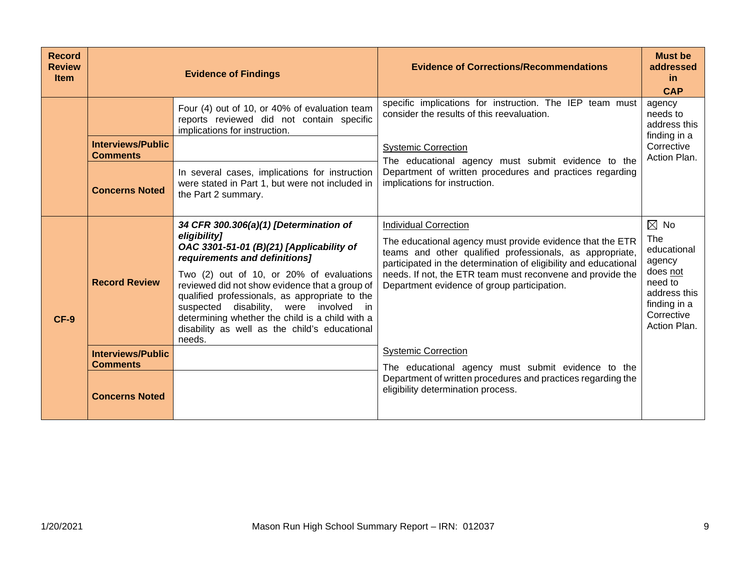| <b>Record</b><br><b>Review</b><br><b>Item</b> |                                                                      | <b>Evidence of Findings</b>                                                                                                                                                                                                                                                                                                                                                                                                                       | <b>Evidence of Corrections/Recommendations</b>                                                                                                                                                                                                                                                                                         | <b>Must be</b><br>addressed<br>-in<br><b>CAP</b>                                                                                    |
|-----------------------------------------------|----------------------------------------------------------------------|---------------------------------------------------------------------------------------------------------------------------------------------------------------------------------------------------------------------------------------------------------------------------------------------------------------------------------------------------------------------------------------------------------------------------------------------------|----------------------------------------------------------------------------------------------------------------------------------------------------------------------------------------------------------------------------------------------------------------------------------------------------------------------------------------|-------------------------------------------------------------------------------------------------------------------------------------|
|                                               | <b>Interviews/Public</b><br><b>Comments</b><br><b>Concerns Noted</b> | Four (4) out of 10, or 40% of evaluation team<br>reports reviewed did not contain specific<br>implications for instruction.<br>In several cases, implications for instruction<br>were stated in Part 1, but were not included in<br>the Part 2 summary.                                                                                                                                                                                           | specific implications for instruction. The IEP team must<br>consider the results of this reevaluation.<br><b>Systemic Correction</b><br>The educational agency must submit evidence to the<br>Department of written procedures and practices regarding<br>implications for instruction.                                                | agency<br>needs to<br>address this<br>finding in a<br>Corrective<br>Action Plan.                                                    |
| $CF-9$                                        | <b>Record Review</b>                                                 | 34 CFR 300.306(a)(1) [Determination of<br>eligibility]<br>OAC 3301-51-01 (B)(21) [Applicability of<br>requirements and definitions]<br>Two (2) out of 10, or 20% of evaluations<br>reviewed did not show evidence that a group of<br>qualified professionals, as appropriate to the<br>disability, were involved<br>suspected<br>in<br>determining whether the child is a child with a<br>disability as well as the child's educational<br>needs. | <b>Individual Correction</b><br>The educational agency must provide evidence that the ETR<br>teams and other qualified professionals, as appropriate,<br>participated in the determination of eligibility and educational<br>needs. If not, the ETR team must reconvene and provide the<br>Department evidence of group participation. | $\boxtimes$ No<br>The<br>educational<br>agency<br>does not<br>need to<br>address this<br>finding in a<br>Corrective<br>Action Plan. |
|                                               | <b>Interviews/Public</b><br><b>Comments</b><br><b>Concerns Noted</b> |                                                                                                                                                                                                                                                                                                                                                                                                                                                   | <b>Systemic Correction</b><br>The educational agency must submit evidence to the<br>Department of written procedures and practices regarding the<br>eligibility determination process.                                                                                                                                                 |                                                                                                                                     |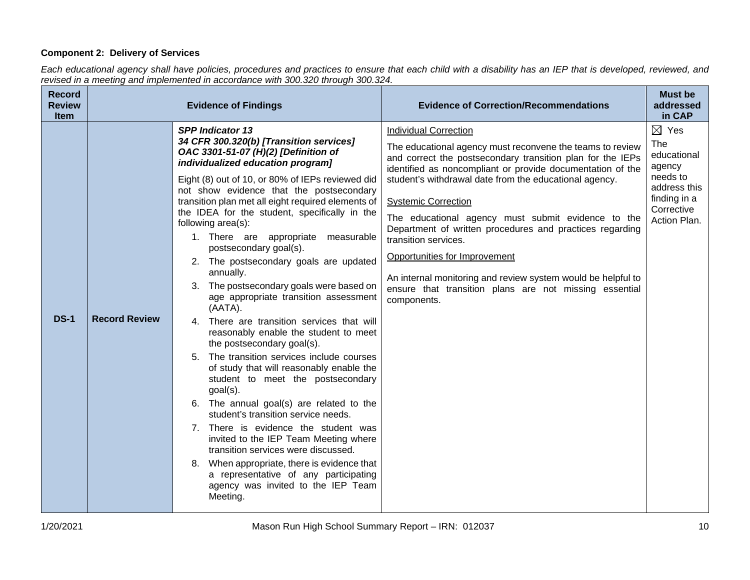# **Component 2: Delivery of Services**

*Each educational agency shall have policies, procedures and practices to ensure that each child with a disability has an IEP that is developed, reviewed, and revised in a meeting and implemented in accordance with 300.320 through 300.324.*

| <b>Record</b><br><b>Review</b><br><b>Item</b> |                      | <b>Evidence of Findings</b>                                                                                                                                                                                                                                                                                                                                                                                                                                                                                                                                                                                                                                                                                                                                                                                                                                                                                                                                                                                                                                                                                                                                                                                                     | <b>Evidence of Correction/Recommendations</b>                                                                                                                                                                                                                                                                                                                                                                                                                                                                                                                                                                                     | <b>Must be</b><br>addressed<br>in CAP                                                                                     |
|-----------------------------------------------|----------------------|---------------------------------------------------------------------------------------------------------------------------------------------------------------------------------------------------------------------------------------------------------------------------------------------------------------------------------------------------------------------------------------------------------------------------------------------------------------------------------------------------------------------------------------------------------------------------------------------------------------------------------------------------------------------------------------------------------------------------------------------------------------------------------------------------------------------------------------------------------------------------------------------------------------------------------------------------------------------------------------------------------------------------------------------------------------------------------------------------------------------------------------------------------------------------------------------------------------------------------|-----------------------------------------------------------------------------------------------------------------------------------------------------------------------------------------------------------------------------------------------------------------------------------------------------------------------------------------------------------------------------------------------------------------------------------------------------------------------------------------------------------------------------------------------------------------------------------------------------------------------------------|---------------------------------------------------------------------------------------------------------------------------|
| <b>DS-1</b>                                   | <b>Record Review</b> | <b>SPP Indicator 13</b><br>34 CFR 300.320(b) [Transition services]<br>OAC 3301-51-07 (H)(2) [Definition of<br>individualized education program]<br>Eight (8) out of 10, or 80% of IEPs reviewed did<br>not show evidence that the postsecondary<br>transition plan met all eight required elements of<br>the IDEA for the student, specifically in the<br>following area(s):<br>1. There are appropriate<br>measurable<br>postsecondary goal(s).<br>2. The postsecondary goals are updated<br>annually.<br>3. The postsecondary goals were based on<br>age appropriate transition assessment<br>(AATA).<br>4. There are transition services that will<br>reasonably enable the student to meet<br>the postsecondary goal(s).<br>5. The transition services include courses<br>of study that will reasonably enable the<br>student to meet the postsecondary<br>$goal(s)$ .<br>6. The annual goal(s) are related to the<br>student's transition service needs.<br>7. There is evidence the student was<br>invited to the IEP Team Meeting where<br>transition services were discussed.<br>8. When appropriate, there is evidence that<br>a representative of any participating<br>agency was invited to the IEP Team<br>Meeting. | <b>Individual Correction</b><br>The educational agency must reconvene the teams to review<br>and correct the postsecondary transition plan for the IEPs<br>identified as noncompliant or provide documentation of the<br>student's withdrawal date from the educational agency.<br><b>Systemic Correction</b><br>The educational agency must submit evidence to the<br>Department of written procedures and practices regarding<br>transition services.<br>Opportunities for Improvement<br>An internal monitoring and review system would be helpful to<br>ensure that transition plans are not missing essential<br>components. | $\boxtimes$ Yes<br>The<br>educational<br>agency<br>needs to<br>address this<br>finding in a<br>Corrective<br>Action Plan. |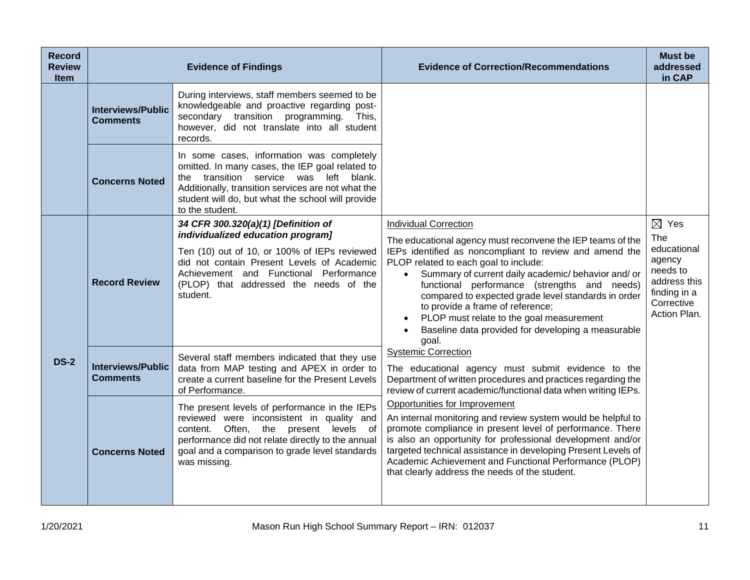| <b>Record</b><br><b>Review</b><br><b>Item</b> |                                             | <b>Evidence of Findings</b>                                                                                                                                                                                                                                            | <b>Evidence of Correction/Recommendations</b>                                                                                                                                                                                                                                                                                                                                                                                                                                                                            | Must be<br>addressed<br>in CAP                                                                                            |
|-----------------------------------------------|---------------------------------------------|------------------------------------------------------------------------------------------------------------------------------------------------------------------------------------------------------------------------------------------------------------------------|--------------------------------------------------------------------------------------------------------------------------------------------------------------------------------------------------------------------------------------------------------------------------------------------------------------------------------------------------------------------------------------------------------------------------------------------------------------------------------------------------------------------------|---------------------------------------------------------------------------------------------------------------------------|
|                                               | <b>Interviews/Public</b><br><b>Comments</b> | During interviews, staff members seemed to be<br>knowledgeable and proactive regarding post-<br>secondary transition programming. This,<br>however, did not translate into all student<br>records.                                                                     |                                                                                                                                                                                                                                                                                                                                                                                                                                                                                                                          |                                                                                                                           |
|                                               | <b>Concerns Noted</b>                       | In some cases, information was completely<br>omitted. In many cases, the IEP goal related to<br>the transition service was left blank.<br>Additionally, transition services are not what the<br>student will do, but what the school will provide<br>to the student.   |                                                                                                                                                                                                                                                                                                                                                                                                                                                                                                                          |                                                                                                                           |
| <b>DS-2</b>                                   | <b>Record Review</b>                        | 34 CFR 300.320(a)(1) [Definition of<br>individualized education program]<br>Ten (10) out of 10, or 100% of IEPs reviewed<br>did not contain Present Levels of Academic<br>Achievement and Functional Performance<br>(PLOP) that addressed the needs of the<br>student. | <b>Individual Correction</b><br>The educational agency must reconvene the IEP teams of the<br>IEPs identified as noncompliant to review and amend the<br>PLOP related to each goal to include:<br>Summary of current daily academic/ behavior and/ or<br>$\bullet$<br>functional performance (strengths and needs)<br>compared to expected grade level standards in order<br>to provide a frame of reference;<br>PLOP must relate to the goal measurement<br>Baseline data provided for developing a measurable<br>goal. | $\boxtimes$ Yes<br>The<br>educational<br>agency<br>needs to<br>address this<br>finding in a<br>Corrective<br>Action Plan. |
|                                               | <b>Interviews/Public</b><br><b>Comments</b> | Several staff members indicated that they use<br>data from MAP testing and APEX in order to<br>create a current baseline for the Present Levels<br>of Performance.                                                                                                     | <b>Systemic Correction</b><br>The educational agency must submit evidence to the<br>Department of written procedures and practices regarding the<br>review of current academic/functional data when writing IEPs.                                                                                                                                                                                                                                                                                                        |                                                                                                                           |
|                                               | <b>Concerns Noted</b>                       | The present levels of performance in the IEPs<br>reviewed were inconsistent in quality and<br>Often, the present levels of<br>content.<br>performance did not relate directly to the annual<br>goal and a comparison to grade level standards<br>was missing.          | Opportunities for Improvement<br>An internal monitoring and review system would be helpful to<br>promote compliance in present level of performance. There<br>is also an opportunity for professional development and/or<br>targeted technical assistance in developing Present Levels of<br>Academic Achievement and Functional Performance (PLOP)<br>that clearly address the needs of the student.                                                                                                                    |                                                                                                                           |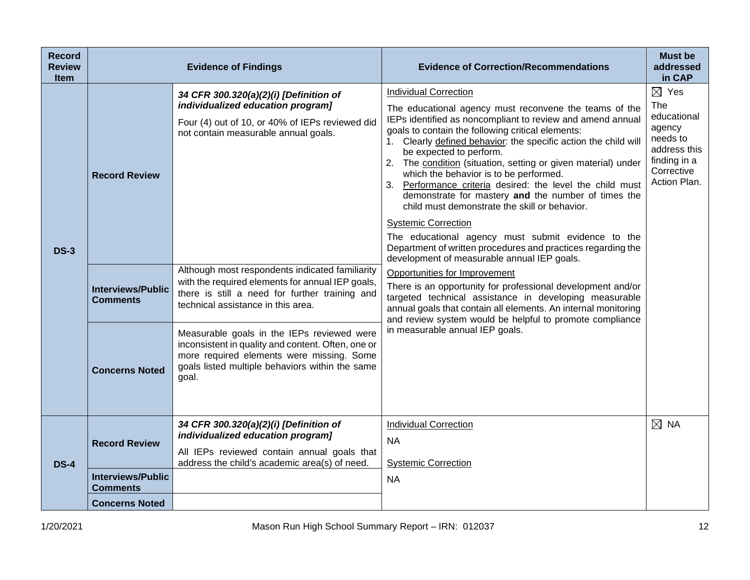| <b>Record</b><br><b>Review</b><br><b>Item</b> |                                             | <b>Evidence of Findings</b>                                                                                                                                                                               | <b>Evidence of Correction/Recommendations</b>                                                                                                                                                                                                                                                                                                                                                                                                                                                                                                                                                                                                                               | <b>Must be</b><br>addressed<br>in CAP                                                                                     |
|-----------------------------------------------|---------------------------------------------|-----------------------------------------------------------------------------------------------------------------------------------------------------------------------------------------------------------|-----------------------------------------------------------------------------------------------------------------------------------------------------------------------------------------------------------------------------------------------------------------------------------------------------------------------------------------------------------------------------------------------------------------------------------------------------------------------------------------------------------------------------------------------------------------------------------------------------------------------------------------------------------------------------|---------------------------------------------------------------------------------------------------------------------------|
| <b>DS-3</b>                                   | <b>Record Review</b>                        | 34 CFR 300.320(a)(2)(i) [Definition of<br>individualized education program]<br>Four (4) out of 10, or 40% of IEPs reviewed did<br>not contain measurable annual goals.                                    | <b>Individual Correction</b><br>The educational agency must reconvene the teams of the<br>IEPs identified as noncompliant to review and amend annual<br>goals to contain the following critical elements:<br>1. Clearly defined behavior: the specific action the child will<br>be expected to perform.<br>2. The condition (situation, setting or given material) under<br>which the behavior is to be performed.<br>3. Performance criteria desired: the level the child must<br>demonstrate for mastery and the number of times the<br>child must demonstrate the skill or behavior.<br><b>Systemic Correction</b><br>The educational agency must submit evidence to the | $\boxtimes$ Yes<br>The<br>educational<br>agency<br>needs to<br>address this<br>finding in a<br>Corrective<br>Action Plan. |
|                                               | <b>Interviews/Public</b><br><b>Comments</b> | Although most respondents indicated familiarity<br>with the required elements for annual IEP goals,<br>there is still a need for further training and<br>technical assistance in this area.               | Department of written procedures and practices regarding the<br>development of measurable annual IEP goals.<br>Opportunities for Improvement<br>There is an opportunity for professional development and/or<br>targeted technical assistance in developing measurable<br>annual goals that contain all elements. An internal monitoring<br>and review system would be helpful to promote compliance<br>in measurable annual IEP goals.                                                                                                                                                                                                                                      |                                                                                                                           |
|                                               | <b>Concerns Noted</b>                       | Measurable goals in the IEPs reviewed were<br>inconsistent in quality and content. Often, one or<br>more required elements were missing. Some<br>goals listed multiple behaviors within the same<br>goal. |                                                                                                                                                                                                                                                                                                                                                                                                                                                                                                                                                                                                                                                                             |                                                                                                                           |
| <b>DS-4</b>                                   | <b>Record Review</b>                        | 34 CFR 300.320(a)(2)(i) [Definition of<br>individualized education program]<br>All IEPs reviewed contain annual goals that<br>address the child's academic area(s) of need.                               | <b>Individual Correction</b><br><b>NA</b><br><b>Systemic Correction</b>                                                                                                                                                                                                                                                                                                                                                                                                                                                                                                                                                                                                     | $\boxtimes$ NA                                                                                                            |
|                                               | <b>Interviews/Public</b><br><b>Comments</b> |                                                                                                                                                                                                           | <b>NA</b>                                                                                                                                                                                                                                                                                                                                                                                                                                                                                                                                                                                                                                                                   |                                                                                                                           |
|                                               | <b>Concerns Noted</b>                       |                                                                                                                                                                                                           |                                                                                                                                                                                                                                                                                                                                                                                                                                                                                                                                                                                                                                                                             |                                                                                                                           |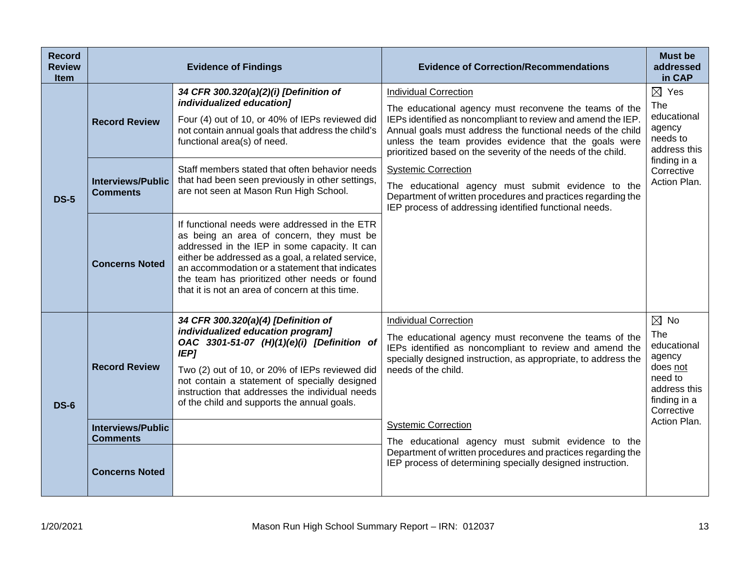| <b>Record</b><br><b>Review</b><br><b>Item</b> |                                                                      | <b>Evidence of Findings</b>                                                                                                                                                                                                                                                                                                                                                                                 | <b>Evidence of Correction/Recommendations</b>                                                                                                                                                                                                                                                                                                                                                                                                                                                                                                                | <b>Must be</b><br>addressed<br>in CAP                                                                                     |
|-----------------------------------------------|----------------------------------------------------------------------|-------------------------------------------------------------------------------------------------------------------------------------------------------------------------------------------------------------------------------------------------------------------------------------------------------------------------------------------------------------------------------------------------------------|--------------------------------------------------------------------------------------------------------------------------------------------------------------------------------------------------------------------------------------------------------------------------------------------------------------------------------------------------------------------------------------------------------------------------------------------------------------------------------------------------------------------------------------------------------------|---------------------------------------------------------------------------------------------------------------------------|
| <b>DS-5</b>                                   | <b>Record Review</b><br><b>Interviews/Public</b><br><b>Comments</b>  | 34 CFR 300.320(a)(2)(i) [Definition of<br>individualized education]<br>Four (4) out of 10, or 40% of IEPs reviewed did<br>not contain annual goals that address the child's<br>functional area(s) of need.<br>Staff members stated that often behavior needs<br>that had been seen previously in other settings,<br>are not seen at Mason Run High School.<br>If functional needs were addressed in the ETR | <b>Individual Correction</b><br>The educational agency must reconvene the teams of the<br>IEPs identified as noncompliant to review and amend the IEP.<br>Annual goals must address the functional needs of the child<br>unless the team provides evidence that the goals were<br>prioritized based on the severity of the needs of the child.<br><b>Systemic Correction</b><br>The educational agency must submit evidence to the<br>Department of written procedures and practices regarding the<br>IEP process of addressing identified functional needs. | $\boxtimes$ Yes<br>The<br>educational<br>agency<br>needs to<br>address this<br>finding in a<br>Corrective<br>Action Plan. |
|                                               | <b>Concerns Noted</b>                                                | as being an area of concern, they must be<br>addressed in the IEP in some capacity. It can<br>either be addressed as a goal, a related service,<br>an accommodation or a statement that indicates<br>the team has prioritized other needs or found<br>that it is not an area of concern at this time.                                                                                                       |                                                                                                                                                                                                                                                                                                                                                                                                                                                                                                                                                              |                                                                                                                           |
| <b>DS-6</b>                                   | <b>Record Review</b>                                                 | 34 CFR 300.320(a)(4) [Definition of<br>individualized education program]<br>OAC 3301-51-07 (H)(1)(e)(i) [Definition of<br><b>IEP]</b><br>Two (2) out of 10, or 20% of IEPs reviewed did<br>not contain a statement of specially designed<br>instruction that addresses the individual needs<br>of the child and supports the annual goals.                                                                  | <b>Individual Correction</b><br>The educational agency must reconvene the teams of the<br>IEPs identified as noncompliant to review and amend the<br>specially designed instruction, as appropriate, to address the<br>needs of the child.                                                                                                                                                                                                                                                                                                                   | $\boxtimes$ No<br>The<br>educational<br>agency<br>does not<br>need to<br>address this<br>finding in a<br>Corrective       |
|                                               | <b>Interviews/Public</b><br><b>Comments</b><br><b>Concerns Noted</b> |                                                                                                                                                                                                                                                                                                                                                                                                             | <b>Systemic Correction</b><br>The educational agency must submit evidence to the<br>Department of written procedures and practices regarding the<br>IEP process of determining specially designed instruction.                                                                                                                                                                                                                                                                                                                                               | Action Plan.                                                                                                              |
|                                               |                                                                      |                                                                                                                                                                                                                                                                                                                                                                                                             |                                                                                                                                                                                                                                                                                                                                                                                                                                                                                                                                                              |                                                                                                                           |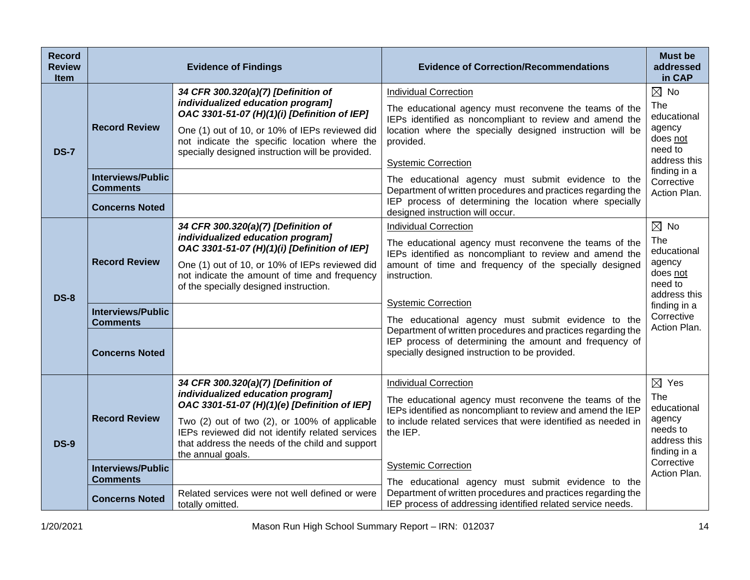| <b>Record</b><br><b>Review</b><br><b>Item</b> |                                                                                              | <b>Evidence of Findings</b>                                                                                                                                                                                                                                                                          | <b>Evidence of Correction/Recommendations</b>                                                                                                                                                                                                                                                                                                                                                                                                                                               | <b>Must be</b><br>addressed<br>in CAP                                                                                               |
|-----------------------------------------------|----------------------------------------------------------------------------------------------|------------------------------------------------------------------------------------------------------------------------------------------------------------------------------------------------------------------------------------------------------------------------------------------------------|---------------------------------------------------------------------------------------------------------------------------------------------------------------------------------------------------------------------------------------------------------------------------------------------------------------------------------------------------------------------------------------------------------------------------------------------------------------------------------------------|-------------------------------------------------------------------------------------------------------------------------------------|
| <b>DS-7</b>                                   | <b>Record Review</b><br><b>Interviews/Public</b><br><b>Comments</b><br><b>Concerns Noted</b> | 34 CFR 300.320(a)(7) [Definition of<br>individualized education program]<br>OAC 3301-51-07 (H)(1)(i) [Definition of IEP]<br>One (1) out of 10, or 10% of IEPs reviewed did<br>not indicate the specific location where the<br>specially designed instruction will be provided.                       | <b>Individual Correction</b><br>The educational agency must reconvene the teams of the<br>IEPs identified as noncompliant to review and amend the<br>location where the specially designed instruction will be<br>provided.<br><b>Systemic Correction</b><br>The educational agency must submit evidence to the<br>Department of written procedures and practices regarding the<br>IEP process of determining the location where specially<br>designed instruction will occur.              | $\boxtimes$ No<br>The<br>educational<br>agency<br>does not<br>need to<br>address this<br>finding in a<br>Corrective<br>Action Plan. |
| <b>DS-8</b>                                   | <b>Record Review</b><br><b>Interviews/Public</b><br><b>Comments</b><br><b>Concerns Noted</b> | 34 CFR 300.320(a)(7) [Definition of<br>individualized education program]<br>OAC 3301-51-07 (H)(1)(i) [Definition of IEP]<br>One (1) out of 10, or 10% of IEPs reviewed did<br>not indicate the amount of time and frequency<br>of the specially designed instruction.                                | <b>Individual Correction</b><br>The educational agency must reconvene the teams of the<br>IEPs identified as noncompliant to review and amend the<br>amount of time and frequency of the specially designed<br>instruction.<br><b>Systemic Correction</b><br>The educational agency must submit evidence to the<br>Department of written procedures and practices regarding the<br>IEP process of determining the amount and frequency of<br>specially designed instruction to be provided. | $\boxtimes$ No<br>The<br>educational<br>agency<br>does not<br>need to<br>address this<br>finding in a<br>Corrective<br>Action Plan. |
| <b>DS-9</b>                                   | <b>Record Review</b><br><b>Interviews/Public</b>                                             | 34 CFR 300.320(a)(7) [Definition of<br>individualized education program]<br>OAC 3301-51-07 (H)(1)(e) [Definition of IEP]<br>Two (2) out of two (2), or 100% of applicable<br>IEPs reviewed did not identify related services<br>that address the needs of the child and support<br>the annual goals. | <b>Individual Correction</b><br>The educational agency must reconvene the teams of the<br>IEPs identified as noncompliant to review and amend the IEP<br>to include related services that were identified as needed in<br>the IEP.<br><b>Systemic Correction</b>                                                                                                                                                                                                                            | $\boxtimes$ Yes<br>The<br>educational<br>agency<br>needs to<br>address this<br>finding in a<br>Corrective                           |
|                                               | <b>Comments</b><br><b>Concerns Noted</b>                                                     | Related services were not well defined or were<br>totally omitted.                                                                                                                                                                                                                                   | The educational agency must submit evidence to the<br>Department of written procedures and practices regarding the<br>IEP process of addressing identified related service needs.                                                                                                                                                                                                                                                                                                           | Action Plan.                                                                                                                        |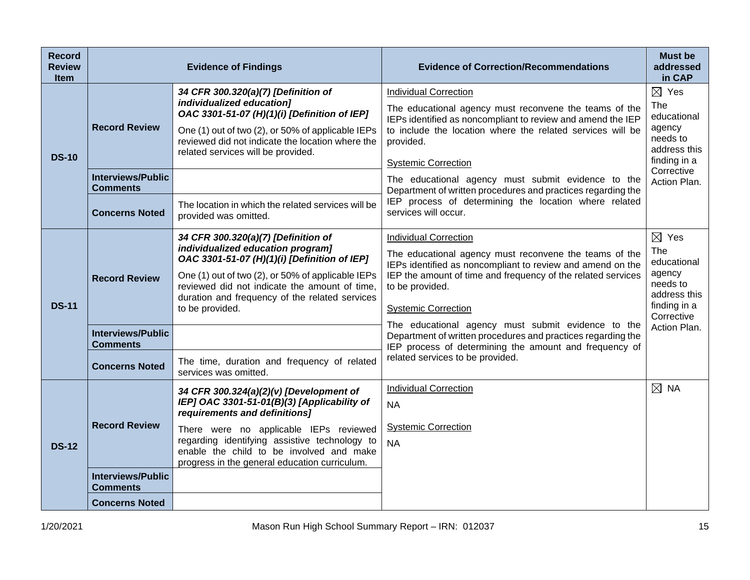| <b>Record</b><br><b>Review</b><br><b>Item</b> |                                                  | <b>Evidence of Findings</b>                                                                                                                                                                                                                                                                         | <b>Evidence of Correction/Recommendations</b>                                                                                                                                                                                                                                                                        | <b>Must be</b><br>addressed<br>in CAP                                                                     |
|-----------------------------------------------|--------------------------------------------------|-----------------------------------------------------------------------------------------------------------------------------------------------------------------------------------------------------------------------------------------------------------------------------------------------------|----------------------------------------------------------------------------------------------------------------------------------------------------------------------------------------------------------------------------------------------------------------------------------------------------------------------|-----------------------------------------------------------------------------------------------------------|
| <b>DS-10</b>                                  | <b>Record Review</b><br><b>Interviews/Public</b> | 34 CFR 300.320(a)(7) [Definition of<br>individualized education]<br>OAC 3301-51-07 (H)(1)(i) [Definition of IEP]<br>One (1) out of two (2), or 50% of applicable IEPs<br>reviewed did not indicate the location where the<br>related services will be provided.                                     | <b>Individual Correction</b><br>The educational agency must reconvene the teams of the<br>IEPs identified as noncompliant to review and amend the IEP<br>to include the location where the related services will be<br>provided.<br><b>Systemic Correction</b><br>The educational agency must submit evidence to the | $\boxtimes$ Yes<br>The<br>educational<br>agency<br>needs to<br>address this<br>finding in a<br>Corrective |
|                                               | <b>Comments</b><br><b>Concerns Noted</b>         | The location in which the related services will be<br>provided was omitted.                                                                                                                                                                                                                         | Department of written procedures and practices regarding the<br>IEP process of determining the location where related<br>services will occur.                                                                                                                                                                        | Action Plan.                                                                                              |
| <b>DS-11</b>                                  | <b>Record Review</b>                             | 34 CFR 300.320(a)(7) [Definition of<br>individualized education program]<br>OAC 3301-51-07 (H)(1)(i) [Definition of IEP]<br>One (1) out of two (2), or 50% of applicable IEPs<br>reviewed did not indicate the amount of time,<br>duration and frequency of the related services<br>to be provided. | <b>Individual Correction</b><br>The educational agency must reconvene the teams of the<br>IEPs identified as noncompliant to review and amend on the<br>IEP the amount of time and frequency of the related services<br>to be provided.<br><b>Systemic Correction</b>                                                | $\boxtimes$ Yes<br>The<br>educational<br>agency<br>needs to<br>address this<br>finding in a<br>Corrective |
|                                               | <b>Interviews/Public</b><br><b>Comments</b>      |                                                                                                                                                                                                                                                                                                     | The educational agency must submit evidence to the<br>Department of written procedures and practices regarding the<br>IEP process of determining the amount and frequency of                                                                                                                                         | Action Plan.                                                                                              |
|                                               | <b>Concerns Noted</b>                            | The time, duration and frequency of related<br>services was omitted.                                                                                                                                                                                                                                | related services to be provided.                                                                                                                                                                                                                                                                                     |                                                                                                           |
| <b>DS-12</b>                                  | <b>Record Review</b>                             | 34 CFR 300.324(a)(2)(v) [Development of<br>IEP] OAC 3301-51-01(B)(3) [Applicability of<br>requirements and definitions]<br>There were no applicable IEPs reviewed<br>regarding identifying assistive technology to<br>enable the child to be involved and make                                      | <b>Individual Correction</b><br><b>NA</b><br><b>Systemic Correction</b><br><b>NA</b>                                                                                                                                                                                                                                 | $\boxtimes$ NA                                                                                            |
|                                               | <b>Interviews/Public</b><br><b>Comments</b>      | progress in the general education curriculum.                                                                                                                                                                                                                                                       |                                                                                                                                                                                                                                                                                                                      |                                                                                                           |
|                                               | <b>Concerns Noted</b>                            |                                                                                                                                                                                                                                                                                                     |                                                                                                                                                                                                                                                                                                                      |                                                                                                           |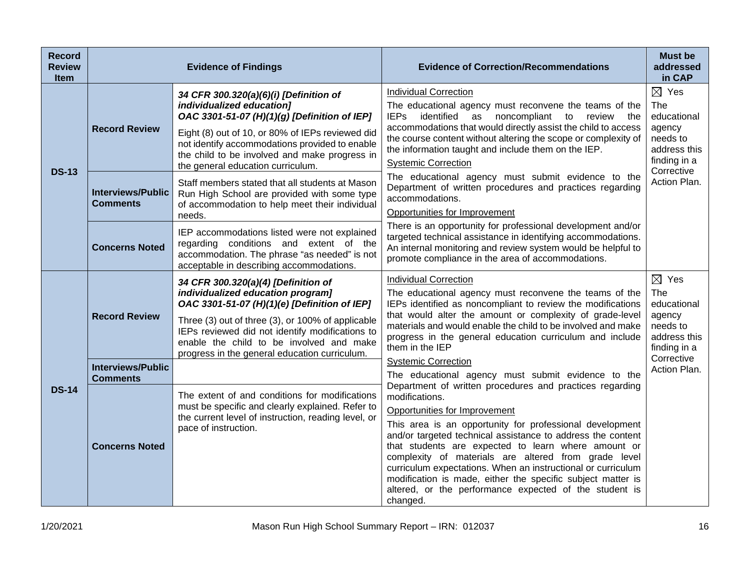| <b>Record</b><br><b>Review</b><br><b>Item</b> |                                             | <b>Evidence of Findings</b>                                                                                                                                                                                                                                                                                                   | <b>Evidence of Correction/Recommendations</b>                                                                                                                                                                                                                                                                                                                                                                                                                                                  | <b>Must be</b><br>addressed<br>in CAP                                                       |
|-----------------------------------------------|---------------------------------------------|-------------------------------------------------------------------------------------------------------------------------------------------------------------------------------------------------------------------------------------------------------------------------------------------------------------------------------|------------------------------------------------------------------------------------------------------------------------------------------------------------------------------------------------------------------------------------------------------------------------------------------------------------------------------------------------------------------------------------------------------------------------------------------------------------------------------------------------|---------------------------------------------------------------------------------------------|
|                                               | <b>Record Review</b>                        | 34 CFR 300.320(a)(6)(i) [Definition of<br>individualized education]<br>OAC 3301-51-07 (H)(1)(g) [Definition of IEP]<br>Eight (8) out of 10, or 80% of IEPs reviewed did<br>not identify accommodations provided to enable<br>the child to be involved and make progress in<br>the general education curriculum.               | <b>Individual Correction</b><br>The educational agency must reconvene the teams of the<br>identified as noncompliant to<br><b>IEPs</b><br>review<br>the<br>accommodations that would directly assist the child to access<br>the course content without altering the scope or complexity of<br>the information taught and include them on the IEP.<br><b>Systemic Correction</b>                                                                                                                | $\boxtimes$ Yes<br>The<br>educational<br>agency<br>needs to<br>address this<br>finding in a |
| <b>DS-13</b>                                  | <b>Interviews/Public</b><br><b>Comments</b> | Staff members stated that all students at Mason<br>Run High School are provided with some type<br>of accommodation to help meet their individual<br>needs.                                                                                                                                                                    | The educational agency must submit evidence to the<br>Department of written procedures and practices regarding<br>accommodations.<br>Opportunities for Improvement                                                                                                                                                                                                                                                                                                                             | Corrective<br>Action Plan.                                                                  |
|                                               | <b>Concerns Noted</b>                       | IEP accommodations listed were not explained<br>regarding conditions and extent of the<br>accommodation. The phrase "as needed" is not<br>acceptable in describing accommodations.                                                                                                                                            | There is an opportunity for professional development and/or<br>targeted technical assistance in identifying accommodations.<br>An internal monitoring and review system would be helpful to<br>promote compliance in the area of accommodations.                                                                                                                                                                                                                                               |                                                                                             |
| <b>DS-14</b>                                  | <b>Record Review</b>                        | 34 CFR 300.320(a)(4) [Definition of<br>individualized education program]<br>OAC 3301-51-07 (H)(1)(e) [Definition of IEP]<br>Three (3) out of three (3), or 100% of applicable<br>IEPs reviewed did not identify modifications to<br>enable the child to be involved and make<br>progress in the general education curriculum. | <b>Individual Correction</b><br>The educational agency must reconvene the teams of the<br>IEPs identified as noncompliant to review the modifications<br>that would alter the amount or complexity of grade-level<br>materials and would enable the child to be involved and make<br>progress in the general education curriculum and include<br>them in the IEP                                                                                                                               | $\boxtimes$ Yes<br>The<br>educational<br>agency<br>needs to<br>address this<br>finding in a |
|                                               | <b>Interviews/Public</b><br><b>Comments</b> | The extent of and conditions for modifications                                                                                                                                                                                                                                                                                | <b>Systemic Correction</b><br>The educational agency must submit evidence to the<br>Department of written procedures and practices regarding                                                                                                                                                                                                                                                                                                                                                   | Corrective<br>Action Plan.                                                                  |
|                                               | <b>Concerns Noted</b>                       | must be specific and clearly explained. Refer to<br>the current level of instruction, reading level, or<br>pace of instruction.                                                                                                                                                                                               | modifications.<br>Opportunities for Improvement<br>This area is an opportunity for professional development<br>and/or targeted technical assistance to address the content<br>that students are expected to learn where amount or<br>complexity of materials are altered from grade level<br>curriculum expectations. When an instructional or curriculum<br>modification is made, either the specific subject matter is<br>altered, or the performance expected of the student is<br>changed. |                                                                                             |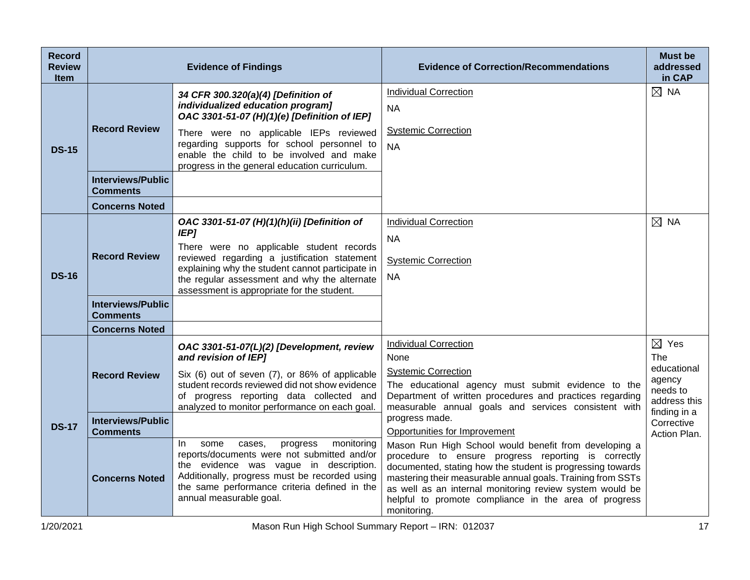| <b>Record</b><br><b>Review</b><br><b>Item</b> |                                             | <b>Evidence of Findings</b>                                                                                                                                                                                                                                                                              | <b>Evidence of Correction/Recommendations</b>                                                                                                                                                                                                                                                                                                                                 | <b>Must be</b><br>addressed<br>in CAP                                       |
|-----------------------------------------------|---------------------------------------------|----------------------------------------------------------------------------------------------------------------------------------------------------------------------------------------------------------------------------------------------------------------------------------------------------------|-------------------------------------------------------------------------------------------------------------------------------------------------------------------------------------------------------------------------------------------------------------------------------------------------------------------------------------------------------------------------------|-----------------------------------------------------------------------------|
| <b>DS-15</b>                                  | <b>Record Review</b>                        | 34 CFR 300.320(a)(4) [Definition of<br>individualized education program]<br>OAC 3301-51-07 (H)(1)(e) [Definition of IEP]                                                                                                                                                                                 | <b>Individual Correction</b><br><b>NA</b>                                                                                                                                                                                                                                                                                                                                     | $\boxtimes$ NA                                                              |
|                                               |                                             | There were no applicable IEPs reviewed<br>regarding supports for school personnel to<br>enable the child to be involved and make<br>progress in the general education curriculum.                                                                                                                        | <b>Systemic Correction</b><br><b>NA</b>                                                                                                                                                                                                                                                                                                                                       |                                                                             |
|                                               | <b>Interviews/Public</b><br><b>Comments</b> |                                                                                                                                                                                                                                                                                                          |                                                                                                                                                                                                                                                                                                                                                                               |                                                                             |
|                                               | <b>Concerns Noted</b>                       |                                                                                                                                                                                                                                                                                                          |                                                                                                                                                                                                                                                                                                                                                                               |                                                                             |
| <b>DS-16</b>                                  | <b>Record Review</b>                        | OAC 3301-51-07 (H)(1)(h)(ii) [Definition of<br><b>IEP]</b><br>There were no applicable student records<br>reviewed regarding a justification statement<br>explaining why the student cannot participate in<br>the regular assessment and why the alternate<br>assessment is appropriate for the student. | <b>Individual Correction</b><br><b>NA</b><br><b>Systemic Correction</b><br><b>NA</b>                                                                                                                                                                                                                                                                                          | $\boxtimes$ NA                                                              |
|                                               | <b>Interviews/Public</b><br><b>Comments</b> |                                                                                                                                                                                                                                                                                                          |                                                                                                                                                                                                                                                                                                                                                                               |                                                                             |
|                                               | <b>Concerns Noted</b>                       |                                                                                                                                                                                                                                                                                                          |                                                                                                                                                                                                                                                                                                                                                                               |                                                                             |
| <b>DS-17</b>                                  | <b>Record Review</b>                        | OAC 3301-51-07(L)(2) [Development, review<br>and revision of IEP]<br>Six (6) out of seven (7), or 86% of applicable<br>student records reviewed did not show evidence<br>of progress reporting data collected and                                                                                        | <b>Individual Correction</b><br>None<br><b>Systemic Correction</b><br>The educational agency must submit evidence to the<br>Department of written procedures and practices regarding                                                                                                                                                                                          | $\boxtimes$ Yes<br>The<br>educational<br>agency<br>needs to<br>address this |
|                                               | <b>Interviews/Public</b><br><b>Comments</b> | analyzed to monitor performance on each goal.                                                                                                                                                                                                                                                            | measurable annual goals and services consistent with<br>progress made.<br>Opportunities for Improvement                                                                                                                                                                                                                                                                       | finding in a<br>Corrective<br>Action Plan.                                  |
|                                               | <b>Concerns Noted</b>                       | monitoring<br>cases,<br>In.<br>some<br>progress<br>reports/documents were not submitted and/or<br>the evidence was vague in description.<br>Additionally, progress must be recorded using<br>the same performance criteria defined in the<br>annual measurable goal.                                     | Mason Run High School would benefit from developing a<br>procedure to ensure progress reporting is correctly<br>documented, stating how the student is progressing towards<br>mastering their measurable annual goals. Training from SSTs<br>as well as an internal monitoring review system would be<br>helpful to promote compliance in the area of progress<br>monitoring. |                                                                             |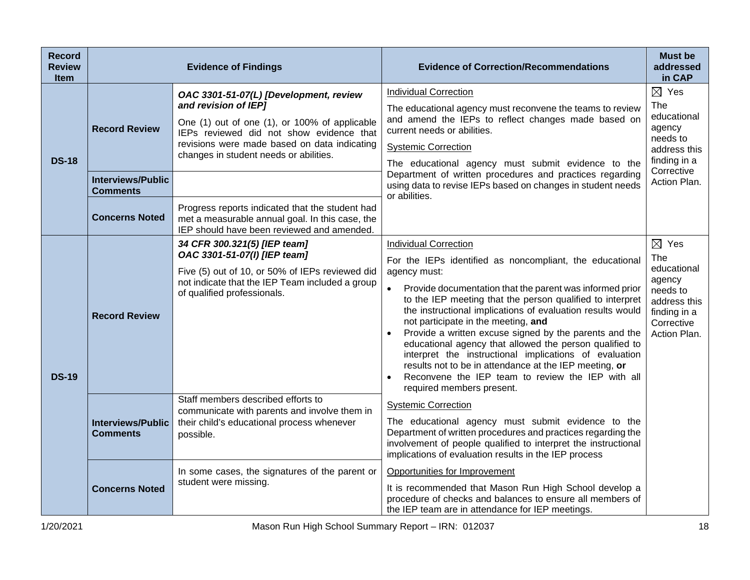| <b>Record</b><br><b>Review</b><br><b>Item</b> | <b>Evidence of Findings</b>                      |                                                                                                                                                                                                                                                       | <b>Evidence of Correction/Recommendations</b>                                                                                                                                                                                                                                                                                                                                                                                                                                                                                                                                                                                                                                  | <b>Must be</b><br>addressed<br>in CAP                                                                                     |
|-----------------------------------------------|--------------------------------------------------|-------------------------------------------------------------------------------------------------------------------------------------------------------------------------------------------------------------------------------------------------------|--------------------------------------------------------------------------------------------------------------------------------------------------------------------------------------------------------------------------------------------------------------------------------------------------------------------------------------------------------------------------------------------------------------------------------------------------------------------------------------------------------------------------------------------------------------------------------------------------------------------------------------------------------------------------------|---------------------------------------------------------------------------------------------------------------------------|
| <b>DS-18</b>                                  | <b>Record Review</b><br><b>Interviews/Public</b> | OAC 3301-51-07(L) [Development, review<br>and revision of IEP]<br>One (1) out of one (1), or 100% of applicable<br>IEPs reviewed did not show evidence that<br>revisions were made based on data indicating<br>changes in student needs or abilities. | <b>Individual Correction</b><br>The educational agency must reconvene the teams to review<br>and amend the IEPs to reflect changes made based on<br>current needs or abilities.<br><b>Systemic Correction</b><br>The educational agency must submit evidence to the<br>Department of written procedures and practices regarding<br>using data to revise IEPs based on changes in student needs                                                                                                                                                                                                                                                                                 | $\boxtimes$ Yes<br>The<br>educational<br>agency<br>needs to<br>address this<br>finding in a<br>Corrective<br>Action Plan. |
|                                               | <b>Comments</b><br><b>Concerns Noted</b>         | Progress reports indicated that the student had<br>met a measurable annual goal. In this case, the<br>IEP should have been reviewed and amended.                                                                                                      | or abilities.                                                                                                                                                                                                                                                                                                                                                                                                                                                                                                                                                                                                                                                                  |                                                                                                                           |
| <b>DS-19</b>                                  | <b>Record Review</b>                             | 34 CFR 300.321(5) [IEP team]<br>OAC 3301-51-07(I) [IEP team]<br>Five (5) out of 10, or 50% of IEPs reviewed did<br>not indicate that the IEP Team included a group<br>of qualified professionals.                                                     | <b>Individual Correction</b><br>For the IEPs identified as noncompliant, the educational<br>agency must:<br>Provide documentation that the parent was informed prior<br>to the IEP meeting that the person qualified to interpret<br>the instructional implications of evaluation results would<br>not participate in the meeting, and<br>Provide a written excuse signed by the parents and the<br>educational agency that allowed the person qualified to<br>interpret the instructional implications of evaluation<br>results not to be in attendance at the IEP meeting, or<br>Reconvene the IEP team to review the IEP with all<br>$\bullet$<br>required members present. | $\boxtimes$ Yes<br>The<br>educational<br>agency<br>needs to<br>address this<br>finding in a<br>Corrective<br>Action Plan. |
|                                               | <b>Interviews/Public</b><br><b>Comments</b>      | Staff members described efforts to<br>communicate with parents and involve them in<br>their child's educational process whenever<br>possible.                                                                                                         | <b>Systemic Correction</b><br>The educational agency must submit evidence to the<br>Department of written procedures and practices regarding the<br>involvement of people qualified to interpret the instructional<br>implications of evaluation results in the IEP process                                                                                                                                                                                                                                                                                                                                                                                                    |                                                                                                                           |
|                                               | <b>Concerns Noted</b>                            | In some cases, the signatures of the parent or<br>student were missing.                                                                                                                                                                               | Opportunities for Improvement<br>It is recommended that Mason Run High School develop a<br>procedure of checks and balances to ensure all members of<br>the IEP team are in attendance for IEP meetings.                                                                                                                                                                                                                                                                                                                                                                                                                                                                       |                                                                                                                           |